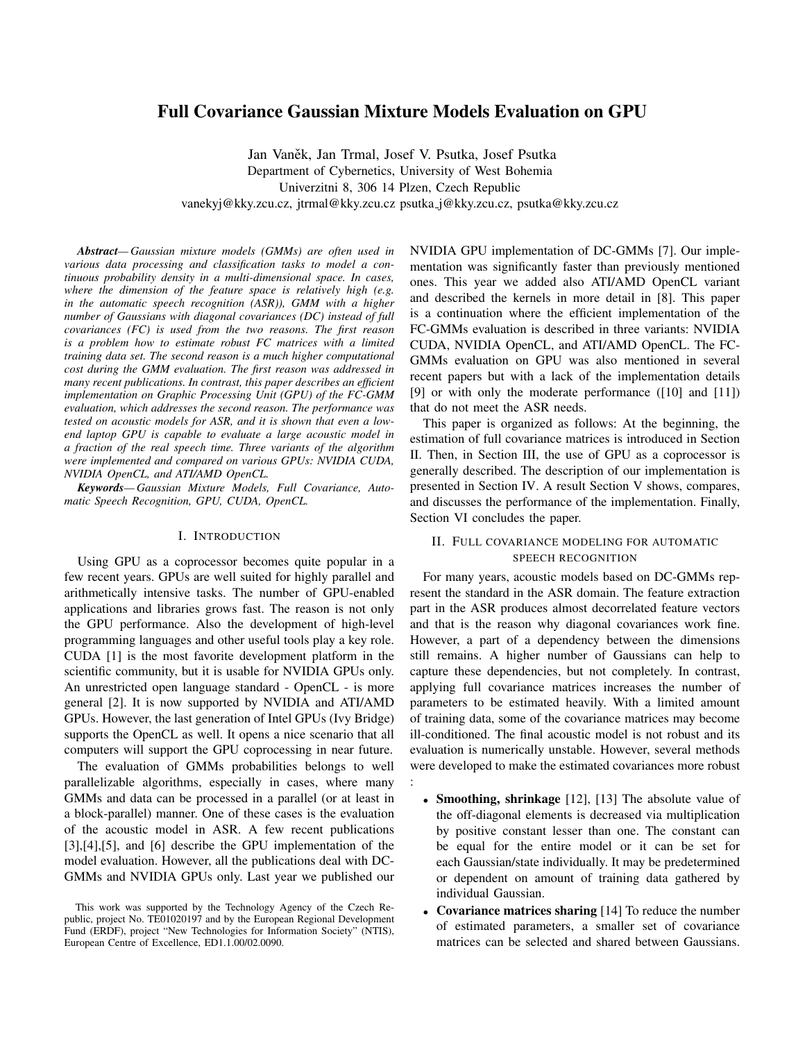# Full Covariance Gaussian Mixture Models Evaluation on GPU

Jan Vaněk, Jan Trmal, Josef V. Psutka, Josef Psutka Department of Cybernetics, University of West Bohemia Univerzitni 8, 306 14 Plzen, Czech Republic vanekyj@kky.zcu.cz, jtrmal@kky.zcu.cz psutka j@kky.zcu.cz, psutka@kky.zcu.cz

:

*Abstract— Gaussian mixture models (GMMs) are often used in various data processing and classification tasks to model a continuous probability density in a multi-dimensional space. In cases, where the dimension of the feature space is relatively high (e.g. in the automatic speech recognition (ASR)), GMM with a higher number of Gaussians with diagonal covariances (DC) instead of full covariances (FC) is used from the two reasons. The first reason is a problem how to estimate robust FC matrices with a limited training data set. The second reason is a much higher computational cost during the GMM evaluation. The first reason was addressed in many recent publications. In contrast, this paper describes an efficient implementation on Graphic Processing Unit (GPU) of the FC-GMM evaluation, which addresses the second reason. The performance was tested on acoustic models for ASR, and it is shown that even a lowend laptop GPU is capable to evaluate a large acoustic model in a fraction of the real speech time. Three variants of the algorithm were implemented and compared on various GPUs: NVIDIA CUDA, NVIDIA OpenCL, and ATI/AMD OpenCL.*

*Keywords— Gaussian Mixture Models, Full Covariance, Automatic Speech Recognition, GPU, CUDA, OpenCL.*

#### I. INTRODUCTION

Using GPU as a coprocessor becomes quite popular in a few recent years. GPUs are well suited for highly parallel and arithmetically intensive tasks. The number of GPU-enabled applications and libraries grows fast. The reason is not only the GPU performance. Also the development of high-level programming languages and other useful tools play a key role. CUDA [1] is the most favorite development platform in the scientific community, but it is usable for NVIDIA GPUs only. An unrestricted open language standard - OpenCL - is more general [2]. It is now supported by NVIDIA and ATI/AMD GPUs. However, the last generation of Intel GPUs (Ivy Bridge) supports the OpenCL as well. It opens a nice scenario that all computers will support the GPU coprocessing in near future.

The evaluation of GMMs probabilities belongs to well parallelizable algorithms, especially in cases, where many GMMs and data can be processed in a parallel (or at least in a block-parallel) manner. One of these cases is the evaluation of the acoustic model in ASR. A few recent publications [3],[4],[5], and [6] describe the GPU implementation of the model evaluation. However, all the publications deal with DC-GMMs and NVIDIA GPUs only. Last year we published our NVIDIA GPU implementation of DC-GMMs [7]. Our implementation was significantly faster than previously mentioned ones. This year we added also ATI/AMD OpenCL variant and described the kernels in more detail in [8]. This paper is a continuation where the efficient implementation of the FC-GMMs evaluation is described in three variants: NVIDIA CUDA, NVIDIA OpenCL, and ATI/AMD OpenCL. The FC-GMMs evaluation on GPU was also mentioned in several recent papers but with a lack of the implementation details [9] or with only the moderate performance ([10] and [11]) that do not meet the ASR needs.

This paper is organized as follows: At the beginning, the estimation of full covariance matrices is introduced in Section II. Then, in Section III, the use of GPU as a coprocessor is generally described. The description of our implementation is presented in Section IV. A result Section V shows, compares, and discusses the performance of the implementation. Finally, Section VI concludes the paper.

# II. FULL COVARIANCE MODELING FOR AUTOMATIC SPEECH RECOGNITION

For many years, acoustic models based on DC-GMMs represent the standard in the ASR domain. The feature extraction part in the ASR produces almost decorrelated feature vectors and that is the reason why diagonal covariances work fine. However, a part of a dependency between the dimensions still remains. A higher number of Gaussians can help to capture these dependencies, but not completely. In contrast, applying full covariance matrices increases the number of parameters to be estimated heavily. With a limited amount of training data, some of the covariance matrices may become ill-conditioned. The final acoustic model is not robust and its evaluation is numerically unstable. However, several methods were developed to make the estimated covariances more robust

- Smoothing, shrinkage [12], [13] The absolute value of the off-diagonal elements is decreased via multiplication by positive constant lesser than one. The constant can be equal for the entire model or it can be set for each Gaussian/state individually. It may be predetermined or dependent on amount of training data gathered by individual Gaussian.
- Covariance matrices sharing [14] To reduce the number of estimated parameters, a smaller set of covariance matrices can be selected and shared between Gaussians.

This work was supported by the Technology Agency of the Czech Republic, project No. TE01020197 and by the European Regional Development Fund (ERDF), project "New Technologies for Information Society" (NTIS), European Centre of Excellence, ED1.1.00/02.0090.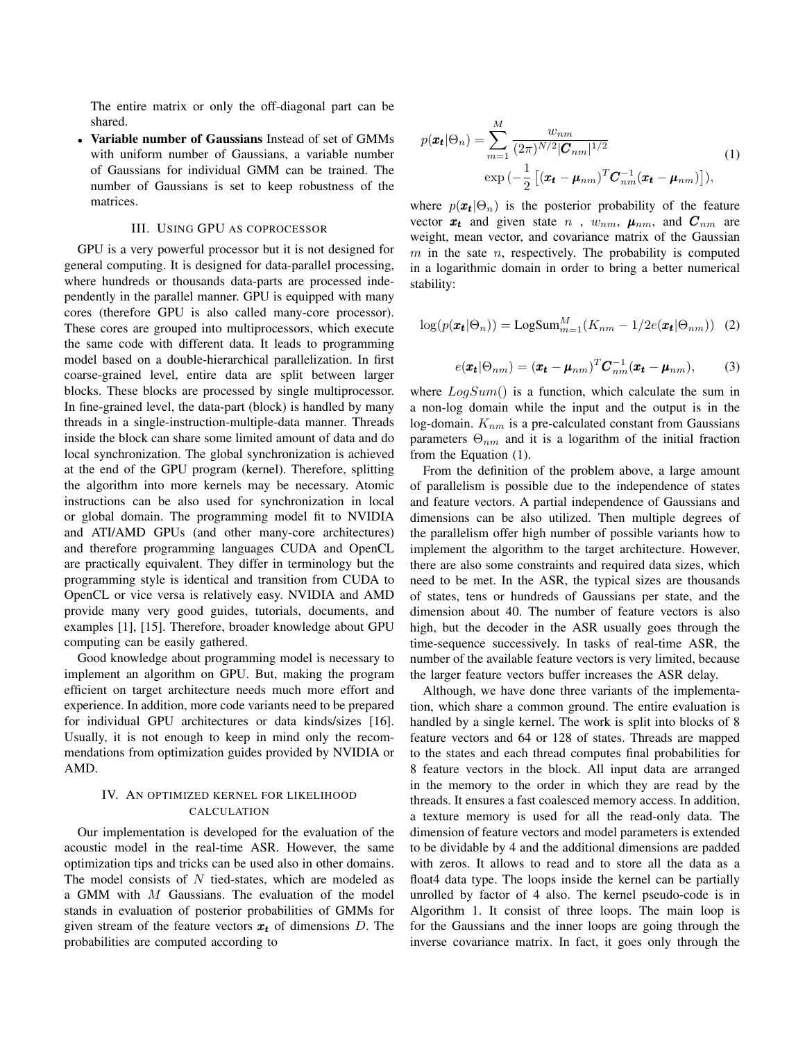The entire matrix or only the off-diagonal part can be shared.

• Variable number of Gaussians Instead of set of GMMs with uniform number of Gaussians, a variable number of Gaussians for individual GMM can be trained. The number of Gaussians is set to keep robustness of the matrices.

#### III. USING GPU AS COPROCESSOR

GPU is a very powerful processor but it is not designed for general computing. It is designed for data-parallel processing, where hundreds or thousands data-parts are processed independently in the parallel manner. GPU is equipped with many cores (therefore GPU is also called many-core processor). These cores are grouped into multiprocessors, which execute the same code with different data. It leads to programming model based on a double-hierarchical parallelization. In first coarse-grained level, entire data are split between larger blocks. These blocks are processed by single multiprocessor. In fine-grained level, the data-part (block) is handled by many threads in a single-instruction-multiple-data manner. Threads inside the block can share some limited amount of data and do local synchronization. The global synchronization is achieved at the end of the GPU program (kernel). Therefore, splitting the algorithm into more kernels may be necessary. Atomic instructions can be also used for synchronization in local or global domain. The programming model fit to NVIDIA and ATI/AMD GPUs (and other many-core architectures) and therefore programming languages CUDA and OpenCL are practically equivalent. They differ in terminology but the programming style is identical and transition from CUDA to OpenCL or vice versa is relatively easy. NVIDIA and AMD provide many very good guides, tutorials, documents, and examples [1], [15]. Therefore, broader knowledge about GPU computing can be easily gathered.

Good knowledge about programming model is necessary to implement an algorithm on GPU. But, making the program efficient on target architecture needs much more effort and experience. In addition, more code variants need to be prepared for individual GPU architectures or data kinds/sizes [16]. Usually, it is not enough to keep in mind only the recommendations from optimization guides provided by NVIDIA or AMD.

# IV. AN OPTIMIZED KERNEL FOR LIKELIHOOD CALCULATION

Our implementation is developed for the evaluation of the acoustic model in the real-time ASR. However, the same optimization tips and tricks can be used also in other domains. The model consists of  $N$  tied-states, which are modeled as a GMM with M Gaussians. The evaluation of the model stands in evaluation of posterior probabilities of GMMs for given stream of the feature vectors  $x_t$  of dimensions D. The probabilities are computed according to

$$
p(\boldsymbol{x_t}|\Theta_n) = \sum_{m=1}^{M} \frac{w_{nm}}{(2\pi)^{N/2} |\boldsymbol{C}_{nm}|^{1/2}} \tag{1}
$$

$$
\exp(-\frac{1}{2} [(\boldsymbol{x_t} - \boldsymbol{\mu}_{nm})^T \boldsymbol{C}_{nm}^{-1} (\boldsymbol{x_t} - \boldsymbol{\mu}_{nm})]),
$$

where  $p(\mathbf{x}_t | \Theta_n)$  is the posterior probability of the feature vector  $x_t$  and given state n,  $w_{nm}$ ,  $\mu_{nm}$ , and  $C_{nm}$  are weight, mean vector, and covariance matrix of the Gaussian  $m$  in the sate  $n$ , respectively. The probability is computed in a logarithmic domain in order to bring a better numerical stability:

$$
\log(p(\pmb{x_t}|\Theta_n)) = \text{LogSum}_{m=1}^M (K_{nm} - 1/2e(\pmb{x_t}|\Theta_{nm})) \quad (2)
$$

$$
e(\boldsymbol{x_t}|\Theta_{nm}) = (\boldsymbol{x_t} - \boldsymbol{\mu}_{nm})^T \boldsymbol{C}_{nm}^{-1} (\boldsymbol{x_t} - \boldsymbol{\mu}_{nm}),
$$
 (3)

where  $LogSum()$  is a function, which calculate the sum in a non-log domain while the input and the output is in the log-domain.  $K_{nm}$  is a pre-calculated constant from Gaussians parameters  $\Theta_{nm}$  and it is a logarithm of the initial fraction from the Equation (1).

From the definition of the problem above, a large amount of parallelism is possible due to the independence of states and feature vectors. A partial independence of Gaussians and dimensions can be also utilized. Then multiple degrees of the parallelism offer high number of possible variants how to implement the algorithm to the target architecture. However, there are also some constraints and required data sizes, which need to be met. In the ASR, the typical sizes are thousands of states, tens or hundreds of Gaussians per state, and the dimension about 40. The number of feature vectors is also high, but the decoder in the ASR usually goes through the time-sequence successively. In tasks of real-time ASR, the number of the available feature vectors is very limited, because the larger feature vectors buffer increases the ASR delay.

Although, we have done three variants of the implementation, which share a common ground. The entire evaluation is handled by a single kernel. The work is split into blocks of 8 feature vectors and 64 or 128 of states. Threads are mapped to the states and each thread computes final probabilities for 8 feature vectors in the block. All input data are arranged in the memory to the order in which they are read by the threads. It ensures a fast coalesced memory access. In addition, a texture memory is used for all the read-only data. The dimension of feature vectors and model parameters is extended to be dividable by 4 and the additional dimensions are padded with zeros. It allows to read and to store all the data as a float4 data type. The loops inside the kernel can be partially unrolled by factor of 4 also. The kernel pseudo-code is in Algorithm 1. It consist of three loops. The main loop is for the Gaussians and the inner loops are going through the inverse covariance matrix. In fact, it goes only through the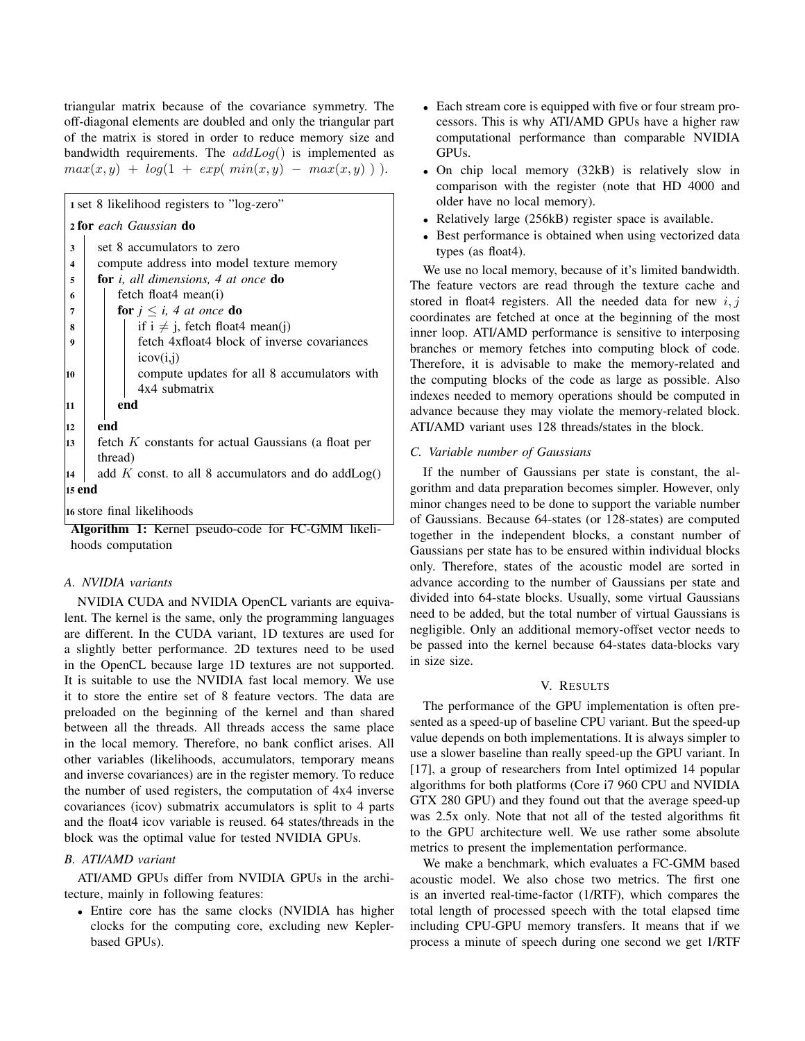triangular matrix because of the covariance symmetry. The off-diagonal elements are doubled and only the triangular part of the matrix is stored in order to reduce memory size and bandwidth requirements. The  $addLog()$  is implemented as  $max(x, y) + log(1 + exp(min(x, y) - max(x, y))).$ 

| 1 set 8 likelihood registers to "log-zero"                     |  |
|----------------------------------------------------------------|--|
| <b>2 for</b> each Gaussian <b>do</b>                           |  |
| set 8 accumulators to zero<br>3                                |  |
| compute address into model texture memory<br>$\boldsymbol{4}$  |  |
| <b>for</b> <i>i</i> , all dimensions, 4 at once <b>do</b><br>5 |  |
| fetch float4 mean(i)<br>6                                      |  |
| <b>for</b> $j \leq i$ , 4 at once <b>do</b><br>7               |  |
| if $i \neq j$ , fetch float4 mean(j)<br>8                      |  |
| fetch 4xfloat4 block of inverse covariances<br>9               |  |
| icov(i, j)                                                     |  |
| compute updates for all 8 accumulators with<br>10              |  |
| 4x4 submatrix                                                  |  |
| end<br>11                                                      |  |
| end<br>12                                                      |  |
| fetch $K$ constants for actual Gaussians (a float per<br>13    |  |
| thread)                                                        |  |
| add K const. to all 8 accumulators and do add $Log()$<br>14    |  |
| <b>15 end</b>                                                  |  |
| 16 store final likelihoods                                     |  |
| Algorithm 1: Kernel pseudo-code for FC-GMM likeli-             |  |

hoods computation

## *A. NVIDIA variants*

NVIDIA CUDA and NVIDIA OpenCL variants are equivalent. The kernel is the same, only the programming languages are different. In the CUDA variant, 1D textures are used for a slightly better performance. 2D textures need to be used in the OpenCL because large 1D textures are not supported. It is suitable to use the NVIDIA fast local memory. We use it to store the entire set of 8 feature vectors. The data are preloaded on the beginning of the kernel and than shared between all the threads. All threads access the same place in the local memory. Therefore, no bank conflict arises. All other variables (likelihoods, accumulators, temporary means and inverse covariances) are in the register memory. To reduce the number of used registers, the computation of 4x4 inverse covariances (icov) submatrix accumulators is split to 4 parts and the float4 icov variable is reused. 64 states/threads in the block was the optimal value for tested NVIDIA GPUs.

## *B. ATI/AMD variant*

ATI/AMD GPUs differ from NVIDIA GPUs in the architecture, mainly in following features:

• Entire core has the same clocks (NVIDIA has higher clocks for the computing core, excluding new Keplerbased GPUs).

- Each stream core is equipped with five or four stream processors. This is why ATI/AMD GPUs have a higher raw computational performance than comparable NVIDIA GPUs.
- On chip local memory (32kB) is relatively slow in comparison with the register (note that HD 4000 and older have no local memory).
- Relatively large (256kB) register space is available.
- Best performance is obtained when using vectorized data types (as float4).

We use no local memory, because of it's limited bandwidth. The feature vectors are read through the texture cache and stored in float4 registers. All the needed data for new  $i, j$ coordinates are fetched at once at the beginning of the most inner loop. ATI/AMD performance is sensitive to interposing branches or memory fetches into computing block of code. Therefore, it is advisable to make the memory-related and the computing blocks of the code as large as possible. Also indexes needed to memory operations should be computed in advance because they may violate the memory-related block. ATI/AMD variant uses 128 threads/states in the block.

#### *C. Variable number of Gaussians*

If the number of Gaussians per state is constant, the algorithm and data preparation becomes simpler. However, only minor changes need to be done to support the variable number of Gaussians. Because 64-states (or 128-states) are computed together in the independent blocks, a constant number of Gaussians per state has to be ensured within individual blocks only. Therefore, states of the acoustic model are sorted in advance according to the number of Gaussians per state and divided into 64-state blocks. Usually, some virtual Gaussians need to be added, but the total number of virtual Gaussians is negligible. Only an additional memory-offset vector needs to be passed into the kernel because 64-states data-blocks vary in size size.

# V. RESULTS

The performance of the GPU implementation is often presented as a speed-up of baseline CPU variant. But the speed-up value depends on both implementations. It is always simpler to use a slower baseline than really speed-up the GPU variant. In [17], a group of researchers from Intel optimized 14 popular algorithms for both platforms (Core i7 960 CPU and NVIDIA GTX 280 GPU) and they found out that the average speed-up was 2.5x only. Note that not all of the tested algorithms fit to the GPU architecture well. We use rather some absolute metrics to present the implementation performance.

We make a benchmark, which evaluates a FC-GMM based acoustic model. We also chose two metrics. The first one is an inverted real-time-factor (1/RTF), which compares the total length of processed speech with the total elapsed time including CPU-GPU memory transfers. It means that if we process a minute of speech during one second we get 1/RTF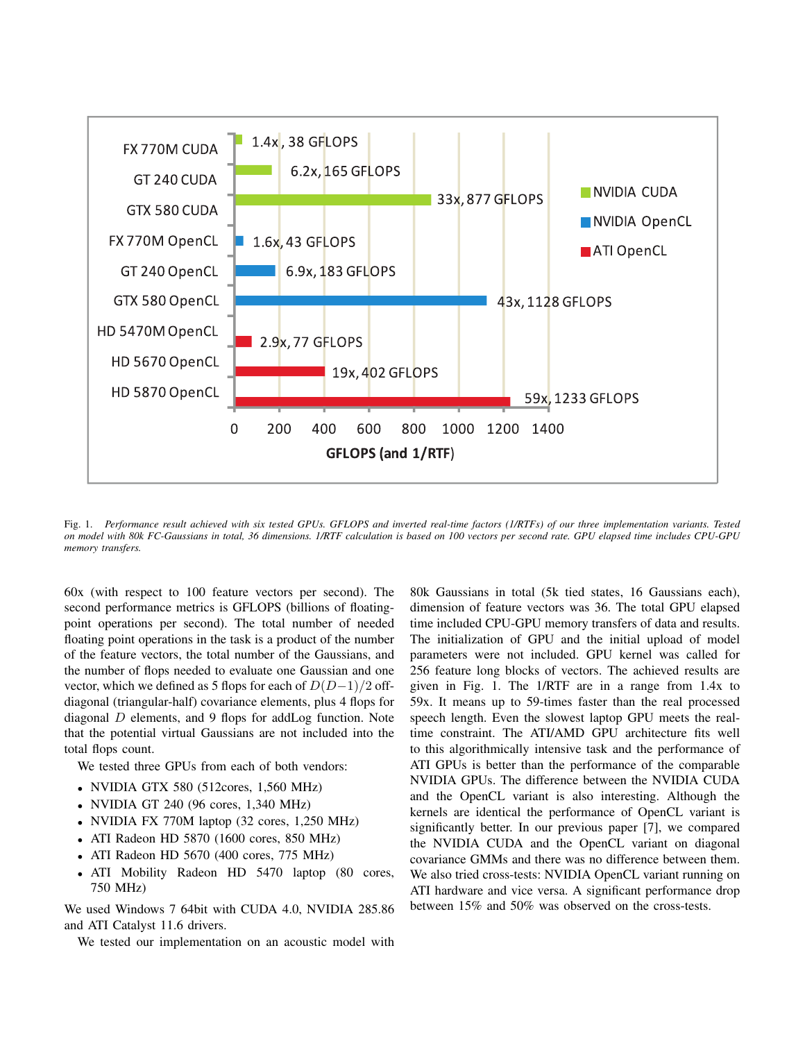

Fig. 1. *Performance result achieved with six tested GPUs. GFLOPS and inverted real-time factors (1/RTFs) of our three implementation variants. Tested on model with 80k FC-Gaussians in total, 36 dimensions. 1/RTF calculation is based on 100 vectors per second rate. GPU elapsed time includes CPU-GPU memory transfers.*

60x (with respect to 100 feature vectors per second). The second performance metrics is GFLOPS (billions of floatingpoint operations per second). The total number of needed floating point operations in the task is a product of the number of the feature vectors, the total number of the Gaussians, and the number of flops needed to evaluate one Gaussian and one vector, which we defined as 5 flops for each of  $D(D-1)/2$  offdiagonal (triangular-half) covariance elements, plus 4 flops for diagonal D elements, and 9 flops for addLog function. Note that the potential virtual Gaussians are not included into the total flops count.

We tested three GPUs from each of both vendors:

- NVIDIA GTX 580 (512cores, 1,560 MHz)
- NVIDIA GT 240 (96 cores, 1,340 MHz)
- NVIDIA FX 770M laptop (32 cores, 1,250 MHz)
- ATI Radeon HD 5870 (1600 cores, 850 MHz)
- ATI Radeon HD 5670 (400 cores, 775 MHz)
- ATI Mobility Radeon HD 5470 laptop (80 cores, 750 MHz)

We used Windows 7 64bit with CUDA 4.0, NVIDIA 285.86 and ATI Catalyst 11.6 drivers.

We tested our implementation on an acoustic model with

80k Gaussians in total (5k tied states, 16 Gaussians each), dimension of feature vectors was 36. The total GPU elapsed time included CPU-GPU memory transfers of data and results. The initialization of GPU and the initial upload of model parameters were not included. GPU kernel was called for 256 feature long blocks of vectors. The achieved results are given in Fig. 1. The 1/RTF are in a range from 1.4x to 59x. It means up to 59-times faster than the real processed speech length. Even the slowest laptop GPU meets the realtime constraint. The ATI/AMD GPU architecture fits well to this algorithmically intensive task and the performance of ATI GPUs is better than the performance of the comparable NVIDIA GPUs. The difference between the NVIDIA CUDA and the OpenCL variant is also interesting. Although the kernels are identical the performance of OpenCL variant is significantly better. In our previous paper [7], we compared the NVIDIA CUDA and the OpenCL variant on diagonal covariance GMMs and there was no difference between them. We also tried cross-tests: NVIDIA OpenCL variant running on ATI hardware and vice versa. A significant performance drop between 15% and 50% was observed on the cross-tests.